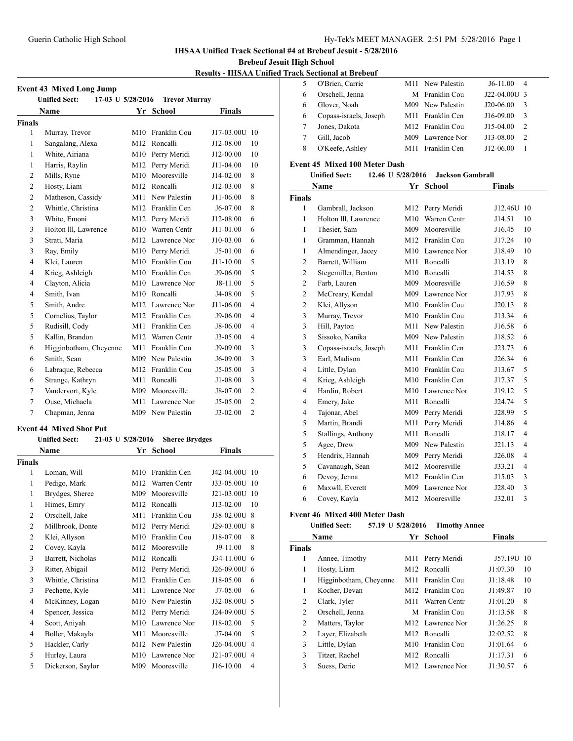#### **IHSAA Unified Track Sectional #4 at Brebeuf Jesuit - 5/28/2016**

**Brebeuf Jesuit High School**

#### **Results - IHSAA Unified Track**

| <b>Event 43 Mixed Long Jump</b>                                   |                        |     |                              |               |                |  |  |  |
|-------------------------------------------------------------------|------------------------|-----|------------------------------|---------------|----------------|--|--|--|
| <b>Unified Sect:</b><br>17-03 U 5/28/2016<br><b>Trevor Murray</b> |                        |     |                              |               |                |  |  |  |
| <b>Name</b><br>Yr School<br>Finals                                |                        |     |                              |               |                |  |  |  |
| Finals                                                            |                        |     |                              |               |                |  |  |  |
| 1                                                                 | Murray, Trevor         | M10 | Franklin Cou                 | J17-03.00U    | 10             |  |  |  |
| 1                                                                 | Sangalang, Alexa       | M12 | Roncalli                     | J12-08.00     | 10             |  |  |  |
| 1                                                                 | White, Airiana         | M10 | Perry Meridi                 | J12-00.00     | 10             |  |  |  |
| 1                                                                 | Harris, Raylin         | M12 | Perry Meridi                 | $J11-04.00$   | 10             |  |  |  |
| $\overline{c}$                                                    | Mills, Ryne            | M10 | Mooresville                  | J14-02.00     | 8              |  |  |  |
| $\overline{2}$                                                    | Hosty, Liam            |     | M12 Roncalli                 | J12-03.00     | 8              |  |  |  |
| $\overline{2}$                                                    | Matheson, Cassidy      | M11 | New Palestin                 | J11-06.00     | 8              |  |  |  |
| $\overline{2}$                                                    | Whittle, Christina     |     | M12 Franklin Cen             | J6-07.00      | 8              |  |  |  |
| 3                                                                 | White, Emoni           |     | M12 Perry Meridi             | J12-08.00     | 6              |  |  |  |
| 3                                                                 | Holton III, Lawrence   |     | M10 Warren Centr             | $J11-01.00$   | 6              |  |  |  |
| 3                                                                 | Strati, Maria          |     | M12 Lawrence Nor             | J10-03.00     | 6              |  |  |  |
| 3                                                                 | Ray, Emily             |     | M10 Perry Meridi             | J5-01.00      | 6              |  |  |  |
| $\overline{4}$                                                    | Klei, Lauren           |     | M10 Franklin Cou             | $J11 - 10.00$ | 5              |  |  |  |
| $\overline{4}$                                                    | Krieg, Ashleigh        |     | M10 Franklin Cen             | J9-06.00      | 5              |  |  |  |
| $\overline{4}$                                                    | Clayton, Alicia        |     | M <sub>10</sub> Lawrence Nor | $J8-11.00$    | 5              |  |  |  |
| 4                                                                 | Smith, Ivan            |     | M10 Roncalli                 | J4-08.00      | 5              |  |  |  |
| 5                                                                 | Smith, Andre           |     | M12 Lawrence Nor             | J11-06.00     | $\overline{4}$ |  |  |  |
| 5                                                                 | Cornelius, Taylor      |     | M12 Franklin Cen             | J9-06.00      | $\overline{4}$ |  |  |  |
| 5                                                                 | Rudisill, Cody         | M11 | Franklin Cen                 | J8-06.00      | $\overline{4}$ |  |  |  |
| 5                                                                 | Kallin, Brandon        | M12 | Warren Centr                 | J3-05.00      | $\overline{4}$ |  |  |  |
| 6                                                                 | Higginbotham, Cheyenne |     | M11 Franklin Cou             | J9-09.00      | 3              |  |  |  |
| 6                                                                 | Smith, Sean            |     | M09 New Palestin             | $J6-09.00$    | 3              |  |  |  |
| 6                                                                 | Labraque, Rebecca      |     | M12 Franklin Cou             | J5-05.00      | 3              |  |  |  |
| 6                                                                 | Strange, Kathryn       | M11 | Roncalli                     | J1-08.00      | 3              |  |  |  |
| 7                                                                 | Vandervort, Kyle       | M09 | Mooresville                  | J8-07.00      | $\overline{2}$ |  |  |  |
| 7                                                                 | Ouse, Michaela         |     | M <sub>11</sub> Lawrence Nor | J5-05.00      | $\overline{2}$ |  |  |  |
| 7                                                                 | Chapman, Jenna         |     | M09 New Palestin             | $J3-02.00$    | $\overline{c}$ |  |  |  |

# **Event 44 Mixed Shot Put**

# **Unified Sect: 21-03 U 5/28/2016 Sheree Brydges Name Yr** School **Finals**

| Finals         |                    |     |              |              |                |
|----------------|--------------------|-----|--------------|--------------|----------------|
| 1              | Loman, Will        | M10 | Franklin Cen | J42-04.00U   | -10            |
| 1              | Pedigo, Mark       | M12 | Warren Centr | J33-05.00U   | -10            |
| 1              | Brydges, Sheree    | M09 | Mooresville  | J21-03.00U   | 10             |
| 1              | Himes, Emry        | M12 | Roncalli     | J13-02.00    | 10             |
| $\overline{2}$ | Orschell, Jake     | M11 | Franklin Cou | J38-02.00U   | 8              |
| $\overline{2}$ | Millbrook, Donte   | M12 | Perry Meridi | J29-03.00U   | 8              |
| $\overline{2}$ | Klei, Allyson      | M10 | Franklin Cou | J18-07.00    | 8              |
| $\overline{2}$ | Covey, Kayla       | M12 | Mooresville  | J9-11.00     | 8              |
| 3              | Barrett, Nicholas  | M12 | Roncalli     | J34-11.00U 6 |                |
| 3              | Ritter, Abigail    | M12 | Perry Meridi | J26-09.00U 6 |                |
| 3              | Whittle, Christina | M12 | Franklin Cen | J18-05.00    | 6              |
| 3              | Pechette, Kyle     | M11 | Lawrence Nor | J7-05.00     | 6              |
| 4              | McKinney, Logan    | M10 | New Palestin | J32-08.00U 5 |                |
| 4              | Spencer, Jessica   | M12 | Perry Meridi | J24-09.00U   | -5             |
| 4              | Scott, Aniyah      | M10 | Lawrence Nor | J18-02.00    | 5              |
| 4              | Boller, Makayla    | M11 | Mooresville  | $J7-04.00$   | 5              |
| 5              | Hackler, Carly     | M12 | New Palestin | J26-04.00U   | $\overline{4}$ |
| 5              | Hurley, Laura      | M10 | Lawrence Nor | J21-07.00U 4 |                |
| 5              | Dickerson, Saylor  | M09 | Mooresville  | J16-10.00    | 4              |

| ck Sectional at Brebeuf |                        |      |                              |              |                |  |  |
|-------------------------|------------------------|------|------------------------------|--------------|----------------|--|--|
| 5                       | O'Brien, Carrie        |      | M <sub>11</sub> New Palestin | $J6-11.00$   | $\overline{4}$ |  |  |
| 6                       | Orschell, Jenna        |      | M Franklin Cou               | J22-04.00U 3 |                |  |  |
| 6                       | Glover, Noah           |      | M09 New Palestin             | J20-06.00    | 3              |  |  |
| 6                       | Copass-israels, Joseph |      | M <sub>11</sub> Franklin Cen | $J16-09.00$  | 3              |  |  |
|                         | Jones, Dakota          |      | M <sub>12</sub> Franklin Cou | $J15-04.00$  | $\overline{c}$ |  |  |
| 7                       | Gill, Jacob            |      | M09 Lawrence Nor             | J13-08.00    | $\overline{c}$ |  |  |
| 8                       | O'Keefe, Ashley        | M11. | Franklin Cen                 | $J12-06.00$  |                |  |  |
|                         |                        |      |                              |              |                |  |  |

### **Event 45 Mixed 100 Meter Dash**

| <b>Unified Sect:</b><br><b>Jackson Gambrall</b><br>12.46 U 5/28/2016 |                        |     |                              |               |                |  |
|----------------------------------------------------------------------|------------------------|-----|------------------------------|---------------|----------------|--|
|                                                                      | Name                   |     | Yr School                    | <b>Finals</b> |                |  |
| <b>Finals</b>                                                        |                        |     |                              |               |                |  |
| 1                                                                    | Gambrall, Jackson      | M12 | Perry Meridi                 | J12.46U 10    |                |  |
| 1                                                                    | Holton III, Lawrence   | M10 | Warren Centr                 | J14.51        | 10             |  |
| 1                                                                    | Thesier, Sam           | M09 | Mooresville                  | J16.45        | 10             |  |
| 1                                                                    | Gramman, Hannah        |     | M12 Franklin Cou             | J17.24        | 10             |  |
| 1                                                                    | Almendinger, Jacey     |     | M10 Lawrence Nor             | J18.49        | 10             |  |
| 2                                                                    | Barrett, William       | M11 | Roncalli                     | J13.19        | 8              |  |
| $\mathfrak{2}$                                                       | Stegemiller, Benton    |     | M10 Roncalli                 | J14.53        | 8              |  |
| 2                                                                    | Farb, Lauren           | M09 | Mooresville                  | J16.59        | 8              |  |
| 2                                                                    | McCreary, Kendal       |     | M09 Lawrence Nor             | J17.93        | 8              |  |
| $\mathfrak{2}$                                                       | Klei, Allyson          |     | M <sub>10</sub> Franklin Cou | J20.13        | 8              |  |
| 3                                                                    | Murray, Trevor         | M10 | Franklin Cou                 | J13.34        | 6              |  |
| 3                                                                    | Hill, Payton           |     | M11 New Palestin             | J16.58        | 6              |  |
| 3                                                                    | Sissoko, Nanika        |     | M09 New Palestin             | J18.52        | 6              |  |
| 3                                                                    | Copass-israels, Joseph |     | M11 Franklin Cen             | J23.73        | 6              |  |
| 3                                                                    | Earl, Madison          | M11 | Franklin Cen                 | J26.34        | 6              |  |
| $\overline{4}$                                                       | Little, Dylan          | M10 | Franklin Cou                 | J13.67        | 5              |  |
| $\overline{4}$                                                       | Krieg, Ashleigh        |     | M10 Franklin Cen             | J17.37        | 5              |  |
| $\overline{4}$                                                       | Hardin, Robert         |     | M <sub>10</sub> Lawrence Nor | J19.12        | 5              |  |
| $\overline{4}$                                                       | Emery, Jake            | M11 | Roncalli                     | J24.74        | 5              |  |
| 4                                                                    | Tajonar, Abel          | M09 | Perry Meridi                 | J28.99        | 5              |  |
| 5                                                                    | Martin, Brandi         | M11 | Perry Meridi                 | J14.86        | $\overline{4}$ |  |
| 5                                                                    | Stallings, Anthony     | M11 | Roncalli                     | J18.17        | 4              |  |
| 5                                                                    | Agee, Drew             | M09 | New Palestin                 | J21.13        | $\overline{4}$ |  |
| 5                                                                    | Hendrix, Hannah        | M09 | Perry Meridi                 | J26.08        | $\overline{4}$ |  |
| 5                                                                    | Cavanaugh, Sean        | M12 | Mooresville                  | J33.21        | $\overline{4}$ |  |
| 6                                                                    | Devoy, Jenna           |     | M12 Franklin Cen             | J15.03        | 3              |  |
| 6                                                                    | Maxwll, Everett        | M09 | Lawrence Nor                 | J28.40        | 3              |  |
| 6                                                                    | Covey, Kayla           | M12 | Mooresville                  | J32.01        | 3              |  |

## **Event 46 Mixed 400 Meter Dash**

### **Unified Sect: 57.19 U 5/28/2016 Timothy Annee**

| Name          |                        |     | Yr School                    | <b>Finals</b> |    |
|---------------|------------------------|-----|------------------------------|---------------|----|
| <b>Finals</b> |                        |     |                              |               |    |
| 1             | Annee, Timothy         | M11 | Perry Meridi                 | J57.19U       | 10 |
| 1             | Hosty, Liam            |     | M <sub>12</sub> Roncalli     | J1:07.30      | 10 |
| 1             | Higginbotham, Cheyenne | M11 | Franklin Cou                 | J1:18.48      | 10 |
| 1             | Kocher, Devan          |     | M <sub>12</sub> Franklin Cou | J1:49.87      | 10 |
| 2             | Clark, Tyler           | M11 | Warren Centr                 | J1:01.20      | 8  |
| 2             | Orschell, Jenna        |     | M Franklin Cou               | J1:13.58      | 8  |
| 2             | Matters, Taylor        |     | M <sub>12</sub> Lawrence Nor | J1:26.25      | 8  |
| 2             | Layer, Elizabeth       |     | M <sub>12</sub> Roncalli     | J2:02.52      | 8  |
| 3             | Little, Dylan          |     | M <sub>10</sub> Franklin Cou | J1:01.64      | 6  |
| 3             | Titzer, Rachel         |     | M <sub>12</sub> Roncalli     | J1:17.31      | 6  |
| 3             | Suess, Deric           |     | M <sub>12</sub> Lawrence Nor | J1:30.57      | 6  |